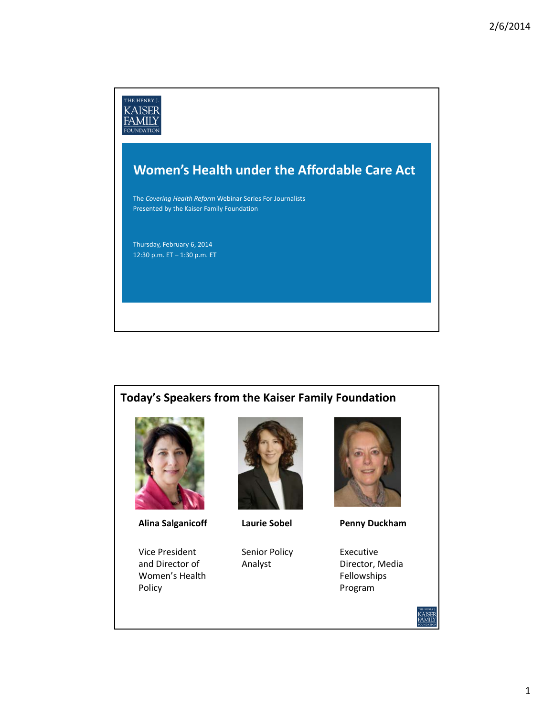

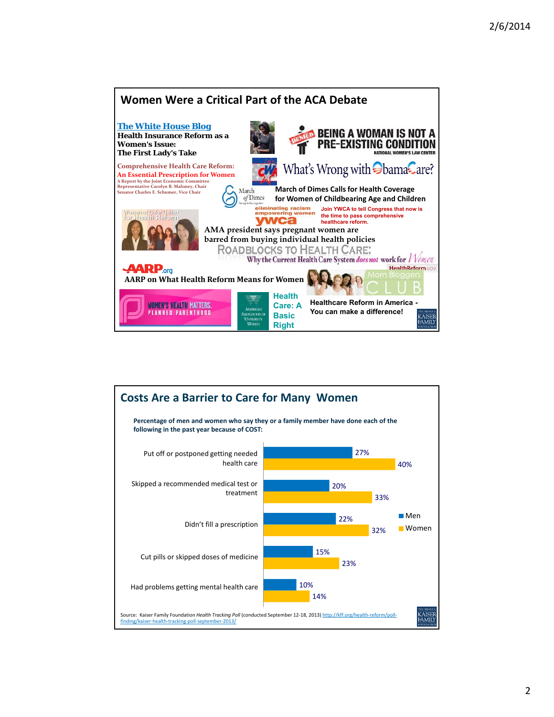

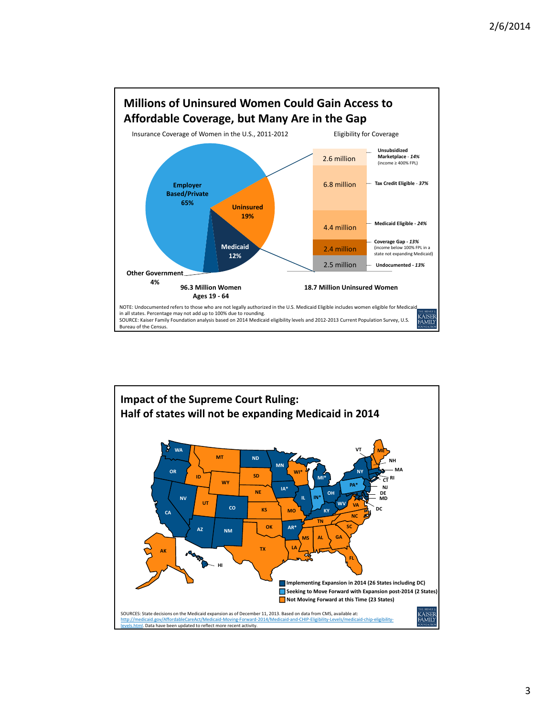

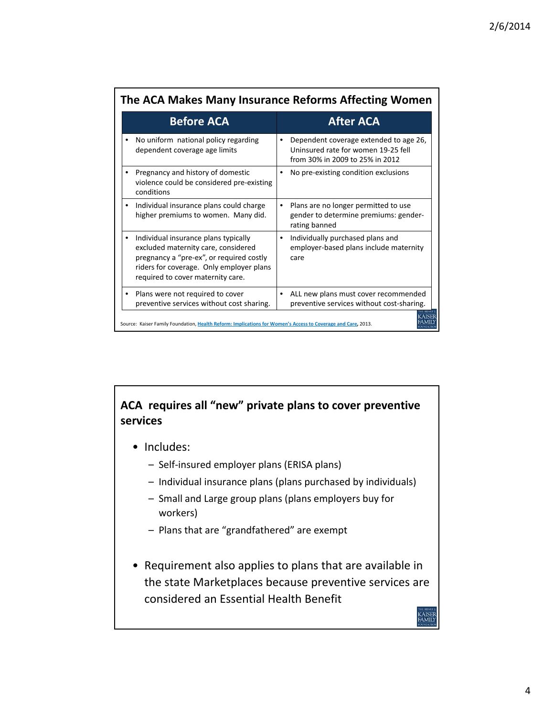| The ACA Makes Many Insurance Reforms Affecting Women                                                                                                                                                     |                                                                                                                               |  |
|----------------------------------------------------------------------------------------------------------------------------------------------------------------------------------------------------------|-------------------------------------------------------------------------------------------------------------------------------|--|
| <b>Before ACA</b>                                                                                                                                                                                        | <b>After ACA</b>                                                                                                              |  |
| No uniform national policy regarding<br>dependent coverage age limits                                                                                                                                    | Dependent coverage extended to age 26,<br>$\bullet$<br>Uninsured rate for women 19-25 fell<br>from 30% in 2009 to 25% in 2012 |  |
| Pregnancy and history of domestic<br>violence could be considered pre-existing<br>conditions                                                                                                             | No pre-existing condition exclusions<br>٠                                                                                     |  |
| Individual insurance plans could charge<br>higher premiums to women. Many did.                                                                                                                           | Plans are no longer permitted to use<br>٠<br>gender to determine premiums: gender-<br>rating banned                           |  |
| Individual insurance plans typically<br>excluded maternity care, considered<br>pregnancy a "pre-ex", or required costly<br>riders for coverage. Only employer plans<br>required to cover maternity care. | Individually purchased plans and<br>٠<br>employer-based plans include maternity<br>care                                       |  |
| Plans were not required to cover<br>preventive services without cost sharing.                                                                                                                            | ALL new plans must cover recommended<br>٠<br>preventive services without cost-sharing.                                        |  |
| Source: Kaiser Family Foundation, Health Reform: Implications for Women's Access to Coverage and Care, 2013.                                                                                             |                                                                                                                               |  |

## **ACA requires all "new" private plans to cover preventive services**

- Includes:
	- Self‐insured employer plans (ERISA plans)
	- Individual insurance plans (plans purchased by individuals)
	- Small and Large group plans (plans employers buy for workers)
	- Plans that are "grandfathered" are exempt
- Requirement also applies to plans that are available in the state Marketplaces because preventive services are considered an Essential Health Benefit

**KAISER**<br>FAMILY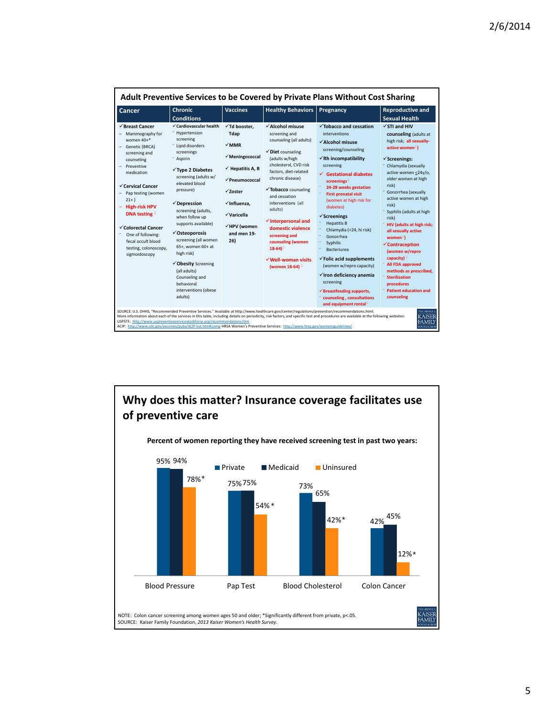| √ Cardiovascular health<br>√Td booster.<br>√Breast Cancer<br>√Alcohol misuse<br>$\checkmark$ Tobacco and cessation<br>$\sqrt{ST}$ and HIV<br>- Hypertension<br>Tdap<br>screening and<br>Mammography for<br>interventions<br>screening<br>women 40+*<br>counseling (all adults)<br>√Alcohol misuse<br>$\sqrt{}$ MMR<br>Lipid disorders<br>Genetic (BRCA)<br>active women <sup>9</sup><br>screening/counseling<br>√Diet counseling<br>screenings<br>screening and<br>$\checkmark$ Meningococcal<br>$\checkmark$ Rh incompatibility<br>(adults w/high<br>- Aspirin<br>$\checkmark$ Screenings:<br>counseling<br>cholesterol, CVD risk<br>screening<br>Chlamydia (sexually<br>Preventive<br>$\checkmark$ Hepatitis A. B<br>√Type 2 Diabetes<br>factors, diet-related<br>medication<br>$\checkmark$ Gestational diabetes<br>screening (adults w/<br>chronic disease)<br>older women at high<br>$\checkmark$ Pneumococcal<br>screenings <sup>9</sup><br>elevated blood<br>risk)<br>√Cervical Cancer<br>24-28 weeks gestation<br>√Tobacco counseling<br>pressure)<br>$\sqrt{7}$ nster<br><sup>-</sup> Gonorrhea (sexually<br>Pap testing (women<br><b>First prenatal visit</b><br>and cessation<br>$21+$<br>(women at high risk for<br>√Influenza.<br>interventions (all<br>$\checkmark$ Depression<br>risk)<br><b>High-risk HPV</b><br>diabetes)<br>adults)<br>screening (adults,<br>DNA testing $\frac{1}{2}$<br>√Varicella<br>$\checkmark$ Screenings<br>when follow up<br>risk)<br>$\checkmark$ Interpersonal and<br><b>Hepatitis B</b><br>supports available)<br>√HPV (women<br>√Colorectal Cancer<br>domestic violence<br>Chlamydia (<24, hi risk)<br>all sexually active<br>√Osteoporosis<br>and men 19-<br>One of following:<br>screening and<br>Gonorrhea<br>$women^{\circ}$<br>screening (all women<br>26)<br>fecal occult blood<br>counseling (women<br>Syphilis<br>$\checkmark$ Contraception<br>65+, women 60+ at<br>testing, colonoscopy,<br>$18-64$ <sup>2</sup><br>Bacteriurea<br>(women w/repro<br>high risk)<br>sigmoidoscopy<br>capacity) $\frac{1}{2}$<br>$\checkmark$ Folic acid supplements<br>√Well-woman visits<br>√Obesity Screening<br>All FDA approved | Cancer | <b>Chronic</b><br><b>Conditions</b> | <b>Vaccines</b> | <b>Healthy Behaviors</b>   | Pregnancy                | <b>Reproductive and</b><br><b>Sexual Health</b>                                                                                                                                                                             |
|----------------------------------------------------------------------------------------------------------------------------------------------------------------------------------------------------------------------------------------------------------------------------------------------------------------------------------------------------------------------------------------------------------------------------------------------------------------------------------------------------------------------------------------------------------------------------------------------------------------------------------------------------------------------------------------------------------------------------------------------------------------------------------------------------------------------------------------------------------------------------------------------------------------------------------------------------------------------------------------------------------------------------------------------------------------------------------------------------------------------------------------------------------------------------------------------------------------------------------------------------------------------------------------------------------------------------------------------------------------------------------------------------------------------------------------------------------------------------------------------------------------------------------------------------------------------------------------------------------------------------------------------------------------------------------------------------------------------------------------------------------------------------------------------------------------------------------------------------------------------------------------------------------------------------------------------------------------------------------------------------------------------------------------------------------------------------------------------------------------------------------------------------------------------------|--------|-------------------------------------|-----------------|----------------------------|--------------------------|-----------------------------------------------------------------------------------------------------------------------------------------------------------------------------------------------------------------------------|
| (all adults)<br>√ Iron deficiency anemia<br><b>Sterilization</b><br>Counseling and<br>screening<br>hehavioral<br>procedures<br>interventions (obese<br>$\checkmark$ Breastfeeding supports,<br>adults)<br>counseling<br>counseling, consultations<br>and equipment rental?                                                                                                                                                                                                                                                                                                                                                                                                                                                                                                                                                                                                                                                                                                                                                                                                                                                                                                                                                                                                                                                                                                                                                                                                                                                                                                                                                                                                                                                                                                                                                                                                                                                                                                                                                                                                                                                                                                 |        |                                     |                 | (women 18-64) <sup>?</sup> | (women w/repro capacity) | counseling (adults at<br>high risk; all sexually-<br>active women <24y/o,<br>active women at high<br>Syphilis (adults at high<br><b>HIV (adults at high risk:</b><br>methods as prescribed,<br><b>Patient education and</b> |

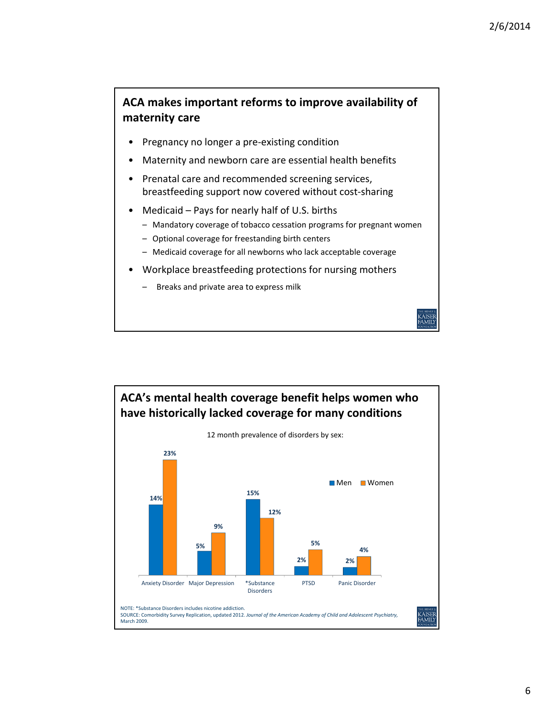CAISEE<br>AMILY

### **ACA makes important reforms to improve availability of maternity care**

- Pregnancy no longer a pre-existing condition
- Maternity and newborn care are essential health benefits
- Prenatal care and recommended screening services, breastfeeding support now covered without cost‐sharing
- Medicaid Pays for nearly half of U.S. births
	- Mandatory coverage of tobacco cessation programs for pregnant women
	- Optional coverage for freestanding birth centers
	- Medicaid coverage for all newborns who lack acceptable coverage
- Workplace breastfeeding protections for nursing mothers
	- Breaks and private area to express milk

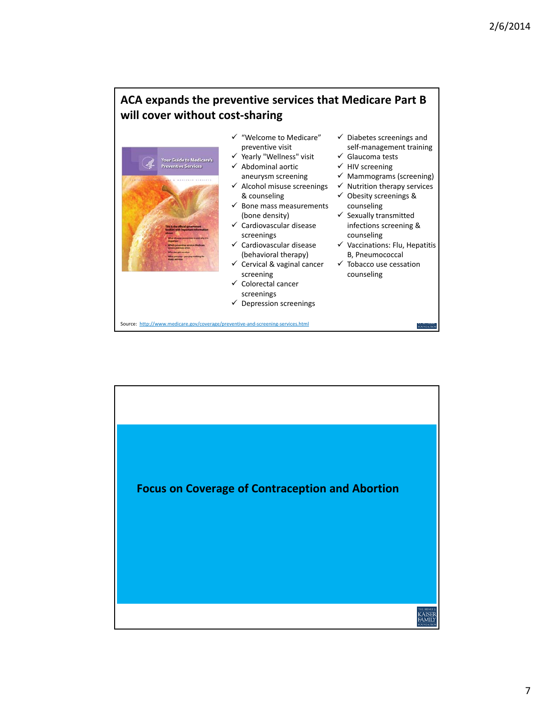# **ACA expands the preventive services that Medicare Part B will cover without cost‐sharing**



- $\checkmark$  "Welcome to Medicare" preventive visit
- $\checkmark$  Yearly "Wellness" visit  $\checkmark$  Abdominal aortic aneurysm screening
- $\checkmark$  Alcohol misuse screenings
- & counseling  $\checkmark$  Bone mass measurements
- (bone density) Cardiovascular disease
- screenings  $\checkmark$  Cardiovascular disease
- (behavioral therapy)
- $\checkmark$  Cervical & vaginal cancer screening
- $\checkmark$  Colorectal cancer screenings
- $\checkmark$  Depression screenings
- $\checkmark$  Diabetes screenings and self‐management training
- $\checkmark$  Glaucoma tests
- $\checkmark$  HIV screening
- $\checkmark$  Mammograms (screening)
- $\checkmark$  Nutrition therapy services
- $\checkmark$  Obesity screenings &
- counseling  $\checkmark$  Sexually transmitted infections screening & counseling
- $\checkmark$  Vaccinations: Flu, Hepatitis B, Pneumococcal

FOUND

 $\checkmark$  Tobacco use cessation counseling

Source: http://www.medicare.gov/coverage/preventive‐and‐screening‐services.html

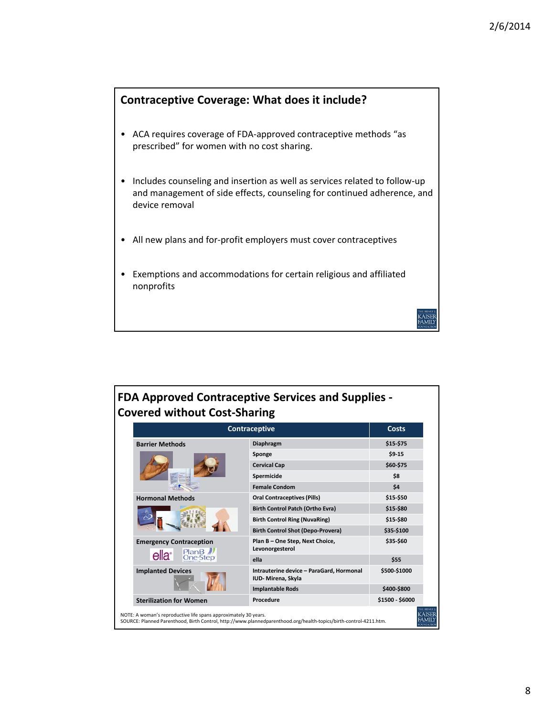KAISEF<br>FAMILY



- ACA requires coverage of FDA‐approved contraceptive methods "as prescribed" for women with no cost sharing.
- Includes counseling and insertion as well as services related to follow‐up and management of side effects, counseling for continued adherence, and device removal
- All new plans and for‐profit employers must cover contraceptives
- Exemptions and accommodations for certain religious and affiliated nonprofits

|                                                                          | Contraceptive                                                 |                 |
|--------------------------------------------------------------------------|---------------------------------------------------------------|-----------------|
| <b>Barrier Methods</b>                                                   | <b>Diaphragm</b>                                              | \$15-\$75       |
|                                                                          | Sponge                                                        | $$9-15$         |
|                                                                          | <b>Cervical Cap</b>                                           | \$60-\$75       |
|                                                                          | Spermicide                                                    | \$8             |
|                                                                          | <b>Female Condom</b>                                          | \$4             |
| <b>Hormonal Methods</b>                                                  | <b>Oral Contraceptives (Pills)</b>                            | \$15-\$50       |
|                                                                          | <b>Birth Control Patch (Ortho Evra)</b>                       | \$15-\$80       |
|                                                                          | <b>Birth Control Ring (NuvaRing)</b>                          | \$15-\$80       |
|                                                                          | <b>Birth Control Shot (Depo-Provera)</b>                      | \$35-\$100      |
| <b>Emergency Contraception</b><br>PlanB<br>ella <sup>®</sup><br>One-Step | Plan B - One Step, Next Choice,<br>Levonorgesterol            | \$35-\$60       |
|                                                                          | ella                                                          | \$55            |
| <b>Implanted Devices</b>                                                 | Intrauterine device - ParaGard, Hormonal<br>IUD-Mirena, Skyla | \$500-\$1000    |
|                                                                          | <b>Implantable Rods</b>                                       | \$400-\$800     |
| <b>Sterilization for Women</b>                                           | Procedure                                                     | \$1500 - \$6000 |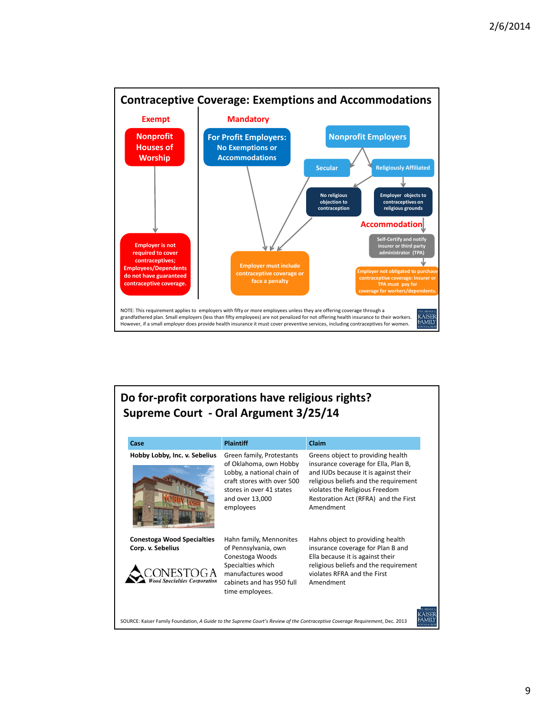

## **Do for‐profit corporations have religious rights? Supreme Court ‐ Oral Argument 3/25/14**

| Case                                                                                         | <b>Plaintiff</b>                                                                                                                                                            | <b>Claim</b>                                                                                                                                                                                                                                      |
|----------------------------------------------------------------------------------------------|-----------------------------------------------------------------------------------------------------------------------------------------------------------------------------|---------------------------------------------------------------------------------------------------------------------------------------------------------------------------------------------------------------------------------------------------|
| Hobby Lobby, Inc. v. Sebelius                                                                | Green family, Protestants<br>of Oklahoma, own Hobby<br>Lobby, a national chain of<br>craft stores with over 500<br>stores in over 41 states<br>and over 13,000<br>employees | Greens object to providing health<br>insurance coverage for Ella, Plan B,<br>and IUDs because it is against their<br>religious beliefs and the requirement<br>violates the Religious Freedom<br>Restoration Act (RFRA) and the First<br>Amendment |
| <b>Conestoga Wood Specialties</b><br>Corp. v. Sebelius<br><b>ood Specialties Corporation</b> | Hahn family, Mennonites<br>of Pennsylvania, own<br>Conestoga Woods<br>Specialties which<br>manufactures wood<br>cabinets and has 950 full<br>time employees.                | Hahns object to providing health<br>insurance coverage for Plan B and<br>Ella because it is against their<br>religious beliefs and the requirement<br>violates RFRA and the First<br>Amendment                                                    |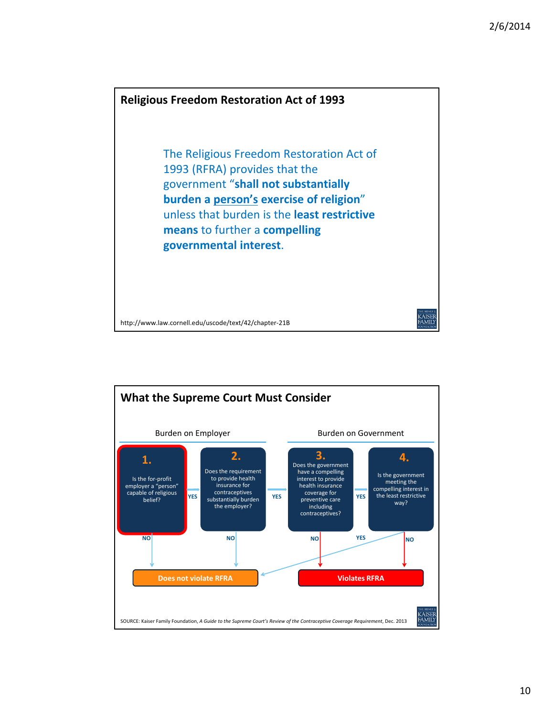

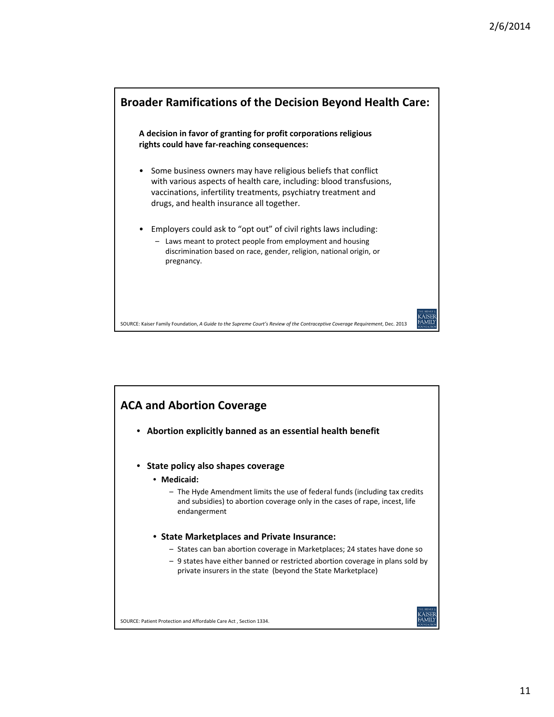

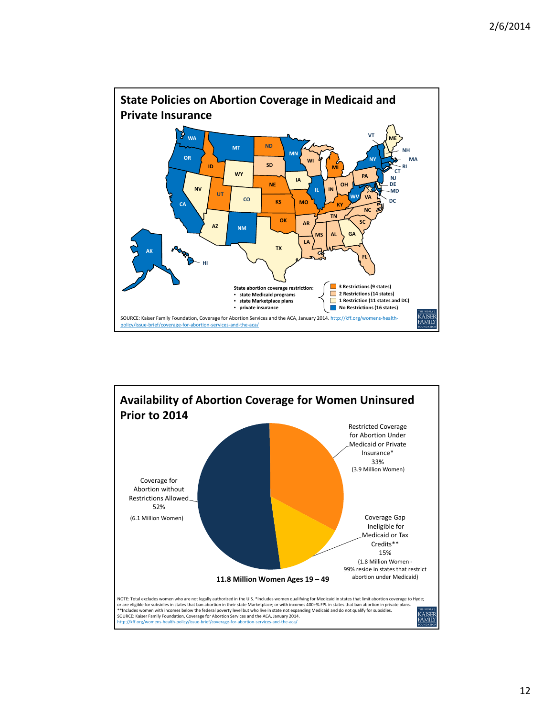

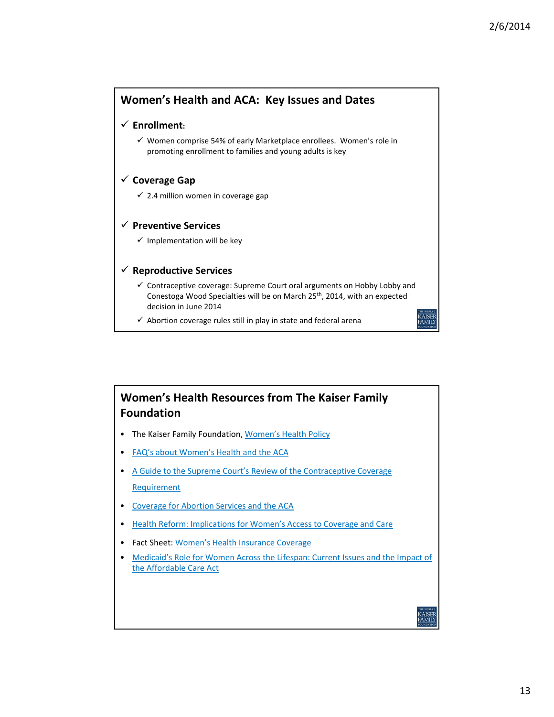

#### **Women's Health Resources from The Kaiser Family Foundation**

- The Kaiser Family Foundation, Women's Health Policy
- FAQ's about Women's Health and the ACA
- A Guide to the Supreme Court's Review of the Contraceptive Coverage Requirement
- Coverage for Abortion Services and the ACA
- Health Reform: Implications for Women's Access to Coverage and Care
- Fact Sheet: Women's Health Insurance Coverage
- Medicaid's Role for Women Across the Lifespan: Current Issues and the Impact of the Affordable Care Act

:AISEF<br>AMILY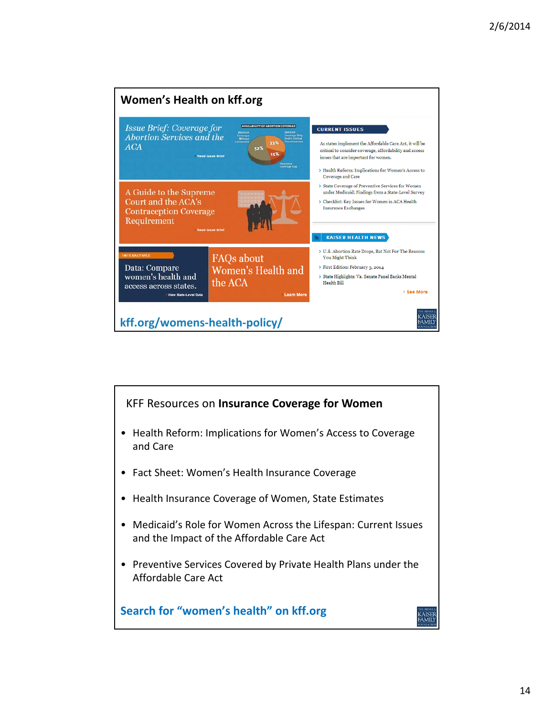

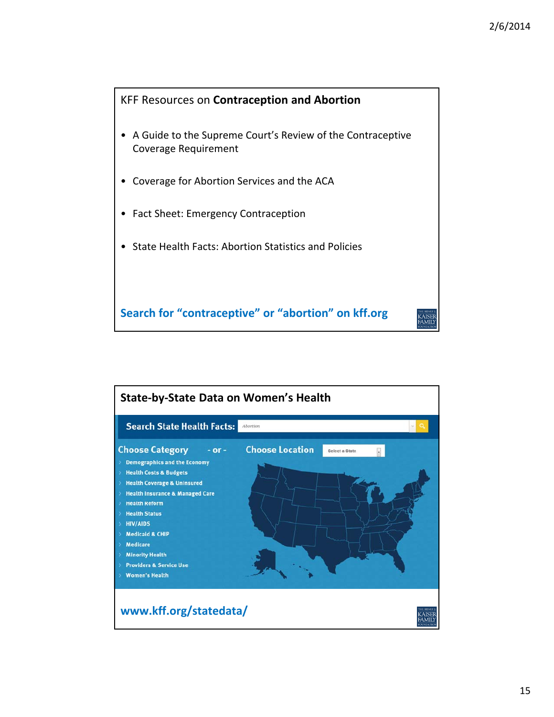

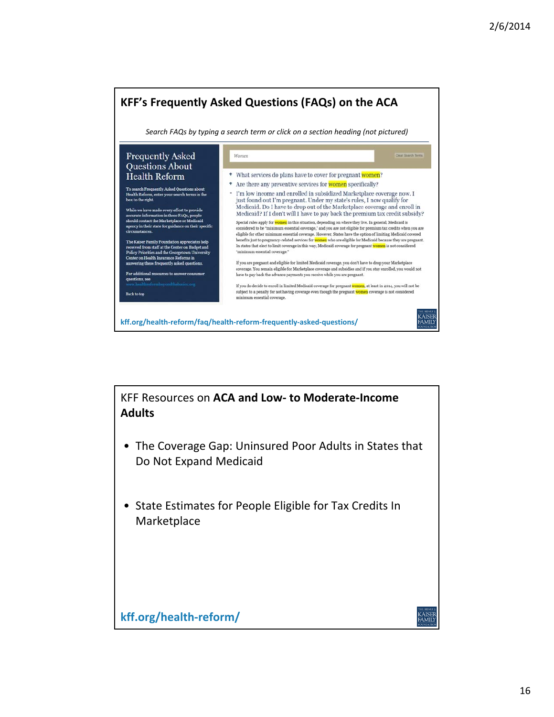

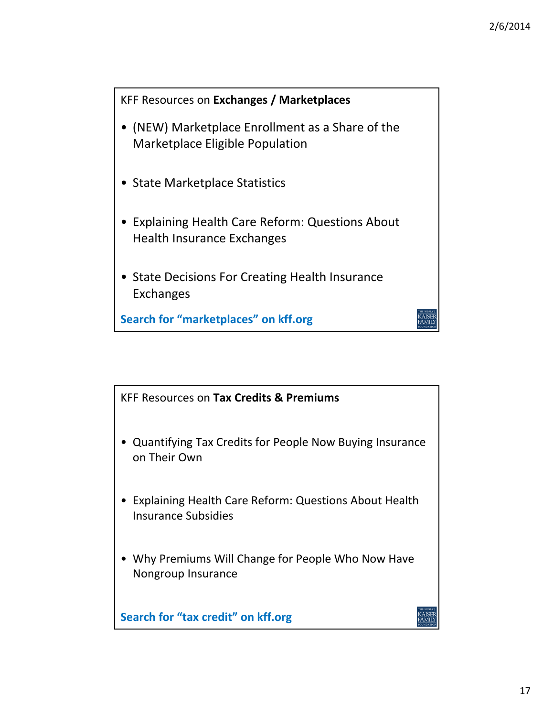

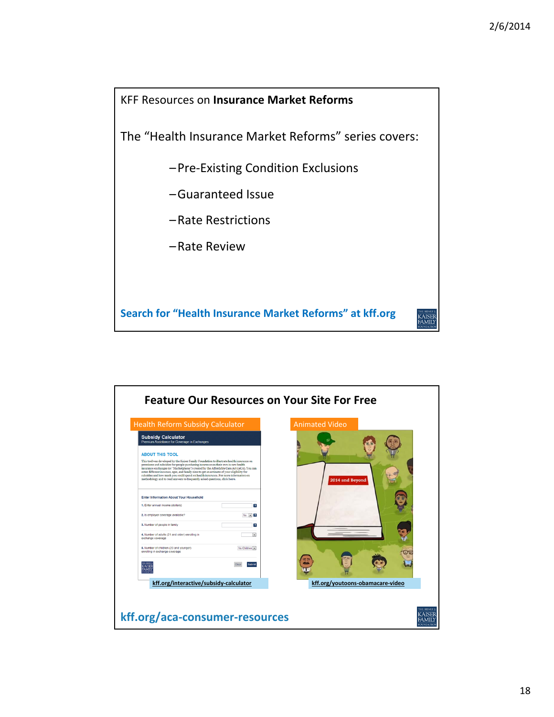

| <b>Feature Our Resources on Your Site For Free</b>                                                                                                                                                                                                                                                                                                                                                                                                                                                                                                                       |                                  |
|--------------------------------------------------------------------------------------------------------------------------------------------------------------------------------------------------------------------------------------------------------------------------------------------------------------------------------------------------------------------------------------------------------------------------------------------------------------------------------------------------------------------------------------------------------------------------|----------------------------------|
| <b>Health Reform Subsidy Calculator</b>                                                                                                                                                                                                                                                                                                                                                                                                                                                                                                                                  | <b>Animated Video</b>            |
| <b>Subsidy Calculator</b><br>Premium Assistance for Coverage in Exchanges                                                                                                                                                                                                                                                                                                                                                                                                                                                                                                |                                  |
| <b>ABOUT THIS TOOL</b><br>This tool was developed by the Kaiser Family Foundation to illustrate health insurance on<br>premiums and subsidies for people purchasing insurance on their own in new health<br>insurance exchanges (or "Marketplaces") created by the Affordable Care Act (ACA). You can<br>enter different incomes, ages, and family sizes to get an estimate of your eligibility for<br>subsidies and how much you could spend on health insurance. For more information on<br>methodology and to read answers to frequently asked questions, click here. | 2014 and Beyond                  |
| <b>Enter Information About Your Household</b>                                                                                                                                                                                                                                                                                                                                                                                                                                                                                                                            |                                  |
| 1. Enter annual income (dollars)<br>$\overline{z}$                                                                                                                                                                                                                                                                                                                                                                                                                                                                                                                       |                                  |
| 2. Is employer coverage available?<br>$No = 2$                                                                                                                                                                                                                                                                                                                                                                                                                                                                                                                           |                                  |
| 3. Number of people in family<br>7                                                                                                                                                                                                                                                                                                                                                                                                                                                                                                                                       |                                  |
| 4. Number of adults (21 and older) enrolling in<br>exchange coverage                                                                                                                                                                                                                                                                                                                                                                                                                                                                                                     |                                  |
| 6. Number of children (20 and younger)<br>No Children<br>enrolling in exchange coverage                                                                                                                                                                                                                                                                                                                                                                                                                                                                                  |                                  |
| Clea<br>aihmit<br><b>AMIL</b>                                                                                                                                                                                                                                                                                                                                                                                                                                                                                                                                            |                                  |
| kff.org/interactive/subsidy-calculator                                                                                                                                                                                                                                                                                                                                                                                                                                                                                                                                   | kff.org/youtoons-obamacare-video |
| kff.org/aca-consumer-resources                                                                                                                                                                                                                                                                                                                                                                                                                                                                                                                                           |                                  |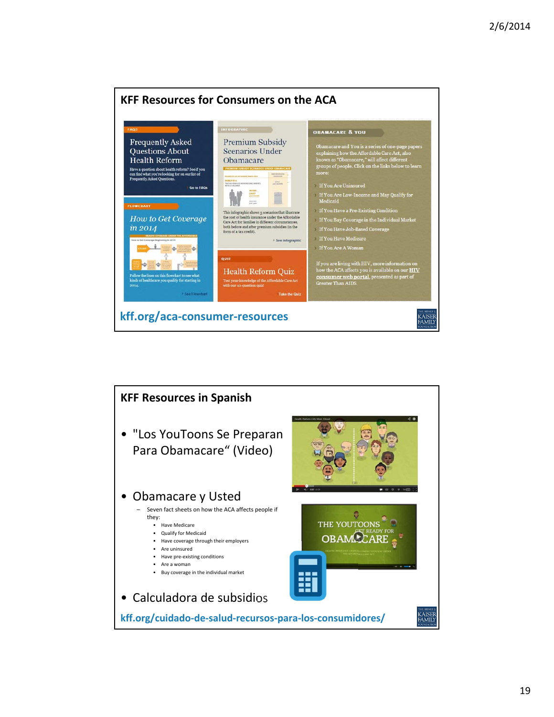